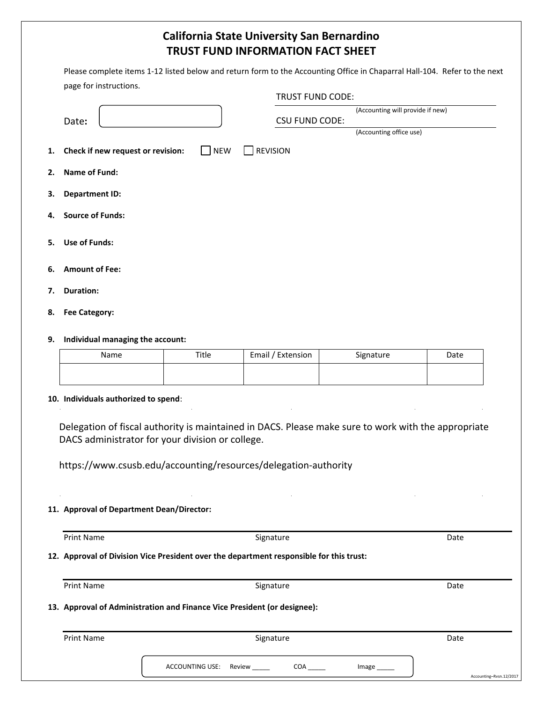# **California State University San Bernardino TRUST FUND INFORMATION FACT SHEET**

| Please complete items 1-12 listed below and return form to the Accounting Office in Chaparral Hall-104. Refer to the next |  |
|---------------------------------------------------------------------------------------------------------------------------|--|
| page for instructions.                                                                                                    |  |

|                                                                    | TRUST FUND CODE:      |                                  |  |
|--------------------------------------------------------------------|-----------------------|----------------------------------|--|
| Date:                                                              | <b>CSU FUND CODE:</b> | (Accounting will provide if new) |  |
|                                                                    |                       | (Accounting office use)          |  |
| <b>NEW</b><br>1. Check if new request or revision:<br>$\mathbf{L}$ | <b>REVISION</b>       |                                  |  |
| 2. Name of Fund:                                                   |                       |                                  |  |
| 3. Department ID:                                                  |                       |                                  |  |
| 4. Source of Funds:                                                |                       |                                  |  |
| 5. Use of Funds:                                                   |                       |                                  |  |
| 6. Amount of Fee:                                                  |                       |                                  |  |
| 7. Duration:                                                       |                       |                                  |  |
| 8. Fee Category:                                                   |                       |                                  |  |
| 9. Individual managing the account:                                |                       |                                  |  |

| Name | Title | Email / Extension | Signature | Date |
|------|-------|-------------------|-----------|------|
|      |       |                   |           |      |

### **10. Individuals authorized to spend**:

Delegation of fiscal authority is maintained in DACS. Please make sure to work with the appropriate DACS administrator for your division or college.

https://www.csusb.edu/accounting/resources/delegation-authority

### **11. Approval of Department Dean/Director:**

Print Name **Signature Signature** Communication of the Signature of the Signature of the Signature of the Signature of the Signature of the Signature of the Signature of the Signature of the Signature of the Signature of th

### **12. Approval of Division Vice President over the department responsible for this trust:**

| Print Name        | Signature                                                                | Date |  |  |
|-------------------|--------------------------------------------------------------------------|------|--|--|
|                   | 13. Approval of Administration and Finance Vice President (or designee): |      |  |  |
| <b>Print Name</b> | Signature                                                                | Date |  |  |
|                   |                                                                          |      |  |  |